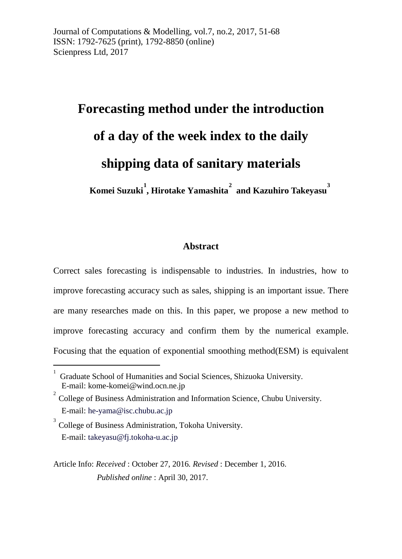# **Forecasting method under the introduction of a day of the week index to the daily shipping data of sanitary materials Komei Suzuki [1](#page-0-0) , Hirotake Yamashita [2](#page-0-1) and Kazuhiro Takeyasu [3](#page-0-2)**

### **Abstract**

Correct sales forecasting is indispensable to industries. In industries, how to improve forecasting accuracy such as sales, shipping is an important issue. There are many researches made on this. In this paper, we propose a new method to improve forecasting accuracy and confirm them by the numerical example. Focusing that the equation of exponential smoothing method(ESM) is equivalent

<u>.</u>

<span id="page-0-0"></span><sup>1</sup> Graduate School of Humanities and Social Sciences, Shizuoka University. E-mail: kome-komei@wind.ocn.ne.jp

<span id="page-0-1"></span><sup>2</sup> College of Business Administration and Information Science, Chubu University. E-mail: [he-yama@isc.chubu.ac.jp](mailto:he-yama@isc.chubu.ac.jp) 

<span id="page-0-2"></span><sup>3</sup> College of Business Administration, Tokoha University. E-mail: [takeyasu@fj.tokoha-u.ac.jp](mailto:takeyasu@fj.tokoha-u.ac.jp)

Article Info: *Received* : October 27, 2016*. Revised* : December 1, 2016. *Published online* : April 30, 2017.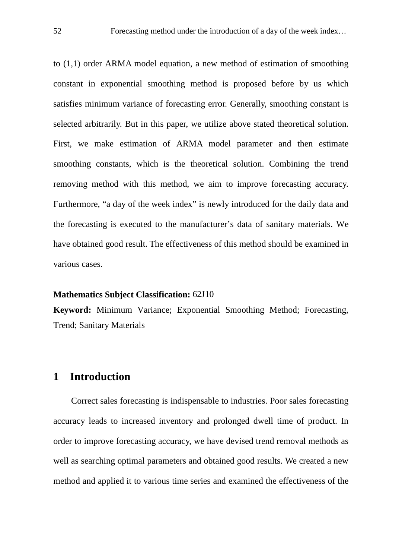to (1,1) order ARMA model equation, a new method of estimation of smoothing constant in exponential smoothing method is proposed before by us which satisfies minimum variance of forecasting error. Generally, smoothing constant is selected arbitrarily. But in this paper, we utilize above stated theoretical solution. First, we make estimation of ARMA model parameter and then estimate smoothing constants, which is the theoretical solution. Combining the trend removing method with this method, we aim to improve forecasting accuracy. Furthermore, "a day of the week index" is newly introduced for the daily data and the forecasting is executed to the manufacturer's data of sanitary materials. We have obtained good result. The effectiveness of this method should be examined in various cases.

#### **Mathematics Subject Classification:** 62J10

**Keyword:** Minimum Variance; Exponential Smoothing Method; Forecasting, Trend; Sanitary Materials

## **1 Introduction**

Correct sales forecasting is indispensable to industries. Poor sales forecasting accuracy leads to increased inventory and prolonged dwell time of product. In order to improve forecasting accuracy, we have devised trend removal methods as well as searching optimal parameters and obtained good results. We created a new method and applied it to various time series and examined the effectiveness of the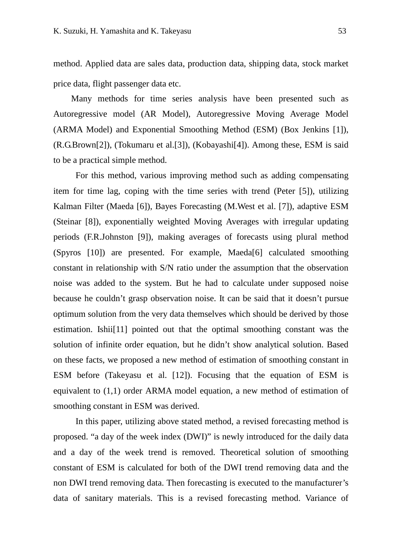method. Applied data are sales data, production data, shipping data, stock market price data, flight passenger data etc.

Many methods for time series analysis have been presented such as Autoregressive model (AR Model), Autoregressive Moving Average Model (ARMA Model) and Exponential Smoothing Method (ESM) (Box Jenkins [1]), (R.G.Brown[2]), (Tokumaru et al.[3]), (Kobayashi[4]). Among these, ESM is said to be a practical simple method.

For this method, various improving method such as adding compensating item for time lag, coping with the time series with trend (Peter [5]), utilizing Kalman Filter (Maeda [6]), Bayes Forecasting (M.West et al. [7]), adaptive ESM (Steinar [8]), exponentially weighted Moving Averages with irregular updating periods (F.R.Johnston [9]), making averages of forecasts using plural method (Spyros [10]) are presented. For example, Maeda[6] calculated smoothing constant in relationship with S/N ratio under the assumption that the observation noise was added to the system. But he had to calculate under supposed noise because he couldn't grasp observation noise. It can be said that it doesn't pursue optimum solution from the very data themselves which should be derived by those estimation. Ishii[11] pointed out that the optimal smoothing constant was the solution of infinite order equation, but he didn't show analytical solution. Based on these facts, we proposed a new method of estimation of smoothing constant in ESM before (Takeyasu et al. [12]). Focusing that the equation of ESM is equivalent to  $(1,1)$  order ARMA model equation, a new method of estimation of smoothing constant in ESM was derived.

In this paper, utilizing above stated method, a revised forecasting method is proposed. "a day of the week index (DWI)" is newly introduced for the daily data and a day of the week trend is removed. Theoretical solution of smoothing constant of ESM is calculated for both of the DWI trend removing data and the non DWI trend removing data. Then forecasting is executed to the manufacturer's data of sanitary materials. This is a revised forecasting method. Variance of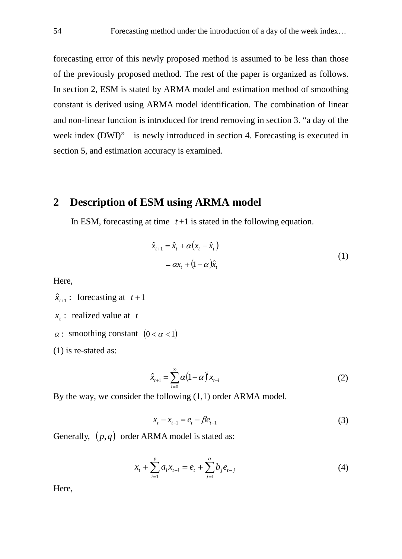forecasting error of this newly proposed method is assumed to be less than those of the previously proposed method. The rest of the paper is organized as follows. In section 2, ESM is stated by ARMA model and estimation method of smoothing constant is derived using ARMA model identification. The combination of linear and non-linear function is introduced for trend removing in section 3. "a day of the week index (DWI)" is newly introduced in section 4. Forecasting is executed in section 5, and estimation accuracy is examined.

## **2 Description of ESM using ARMA model**

In ESM, forecasting at time  $t+1$  is stated in the following equation.

$$
\hat{x}_{t+1} = \hat{x}_t + \alpha (x_t - \hat{x}_t)
$$
  
=  $\alpha x_t + (1 - \alpha)\hat{x}_t$  (1)

Here,

 $\hat{x}_{t+1}$ : forecasting at  $t+1$ 

- $x_i$ : realized value at *t*
- $\alpha$ : smoothing constant  $(0 < \alpha < 1)$
- (1) is re-stated as:

$$
\hat{x}_{t+1} = \sum_{l=0}^{\infty} \alpha (1 - \alpha)^l x_{t-l}
$$
\n(2)

By the way, we consider the following (1,1) order ARMA model.

$$
x_{t} - x_{t-1} = e_{t} - \beta e_{t-1}
$$
 (3)

Generally,  $(p, q)$  order ARMA model is stated as:

$$
x_{t} + \sum_{i=1}^{p} a_{i} x_{t-i} = e_{t} + \sum_{j=1}^{q} b_{j} e_{t-j}
$$
\n(4)

Here,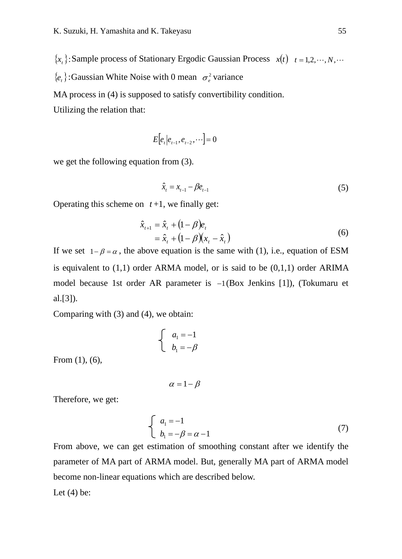${x,}$  : Sample process of Stationary Ergodic Gaussian Process  $x(t)$   $t = 1,2,\dots,N,\dots$ 

 ${e_t}$ :Gaussian White Noise with 0 mean  $\sigma_e^2$  variance

MA process in (4) is supposed to satisfy convertibility condition.

Utilizing the relation that:

$$
E[e_t|e_{t-1}, e_{t-2}, \cdots] = 0
$$

we get the following equation from (3).

$$
\hat{x}_t = x_{t-1} - \beta e_{t-1} \tag{5}
$$

Operating this scheme on  $t+1$ , we finally get:

$$
\hat{x}_{t+1} = \hat{x}_t + (1 - \beta)e_t \n= \hat{x}_t + (1 - \beta)(x_t - \hat{x}_t)
$$
\n(6)

If we set  $1-\beta = \alpha$ , the above equation is the same with (1), i.e., equation of ESM is equivalent to  $(1,1)$  order ARMA model, or is said to be  $(0,1,1)$  order ARIMA model because 1st order AR parameter is −1(Box Jenkins [1]), (Tokumaru et al.[3]).

Comparing with (3) and (4), we obtain:

$$
\begin{cases} a_1 = -1 \\ b_1 = -\beta \end{cases}
$$

From (1), (6),

$$
\alpha = 1 - \beta
$$

Therefore, we get:

$$
\begin{cases}\n a_1 = -1 \\
b_1 = -\beta = \alpha - 1\n\end{cases}
$$
\n(7)

From above, we can get estimation of smoothing constant after we identify the parameter of MA part of ARMA model. But, generally MA part of ARMA model become non-linear equations which are described below.

Let  $(4)$  be: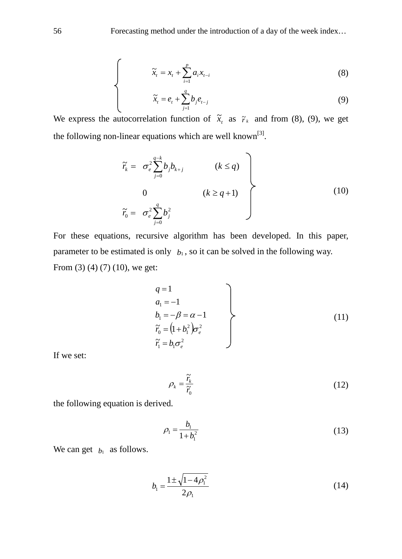$$
\widetilde{x}_t = x_t + \sum_{i=1}^p a_i x_{t-i} \tag{8}
$$

$$
\widetilde{x}_t = e_t + \sum_{j=1}^q b_j e_{t-j} \tag{9}
$$

We express the autocorrelation function of  $\tilde{x}_t$  as  $\tilde{r}_k$  and from (8), (9), we get the following non-linear equations which are well known<sup>[3]</sup>.

$$
\widetilde{r}_{k} = \sigma_{e}^{2} \sum_{j=0}^{q-k} b_{j} b_{k+j} \qquad (k \leq q)
$$
\n
$$
0 \qquad (k \geq q+1)
$$
\n
$$
\widetilde{r}_{0} = \sigma_{e}^{2} \sum_{j=0}^{q} b_{j}^{2} \qquad (10)
$$

For these equations, recursive algorithm has been developed. In this paper, parameter to be estimated is only  $b_1$ , so it can be solved in the following way. From (3) (4) (7) (10), we get:

$$
q = 1\n a1 = -1\n b1 = -\beta = \alpha - 1\n \tilde{r}0 = (1 + b12)\sigmae2\n \tilde{r}1 = b1\sigmae2
$$
\n(11)

If we set:

$$
\rho_k = \frac{\tilde{r}_k}{\tilde{r}_0} \tag{12}
$$

the following equation is derived.

$$
\rho_1 = \frac{b_1}{1 + b_1^2} \tag{13}
$$

We can get  $b_1$  as follows.

$$
b_1 = \frac{1 \pm \sqrt{1 - 4\rho_1^2}}{2\rho_1} \tag{14}
$$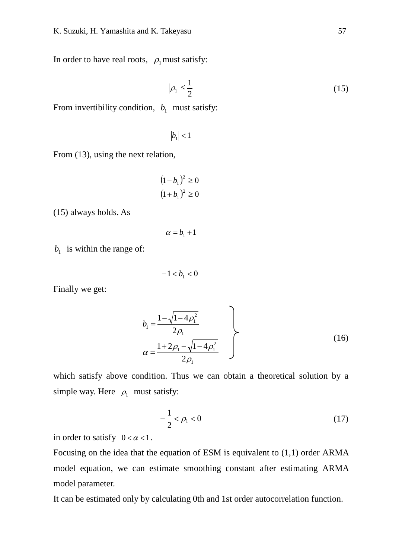In order to have real roots,  $\rho_1$  must satisfy:

$$
|\rho_1| \le \frac{1}{2} \tag{15}
$$

From invertibility condition,  $b_1$  must satisfy:

$$
|b_1| < 1
$$

From (13), using the next relation,

$$
(1-b_1)^2 \ge 0
$$
  

$$
(1+b_1)^2 \ge 0
$$

(15) always holds. As

$$
\alpha=b_{\scriptscriptstyle 1}+1
$$

 $b_1$  is within the range of:

$$
-1 < b_1 < 0
$$

Finally we get:

$$
b_1 = \frac{1 - \sqrt{1 - 4\rho_1^2}}{2\rho_1}
$$
  
\n
$$
\alpha = \frac{1 + 2\rho_1 - \sqrt{1 - 4\rho_1^2}}{2\rho_1}
$$
\n(16)

which satisfy above condition. Thus we can obtain a theoretical solution by a simple way. Here  $\rho_1$  must satisfy:

$$
-\frac{1}{2} < \rho_1 < 0 \tag{17}
$$

in order to satisfy  $0 < \alpha < 1$ .

Focusing on the idea that the equation of ESM is equivalent to (1,1) order ARMA model equation, we can estimate smoothing constant after estimating ARMA model parameter.

It can be estimated only by calculating 0th and 1st order autocorrelation function.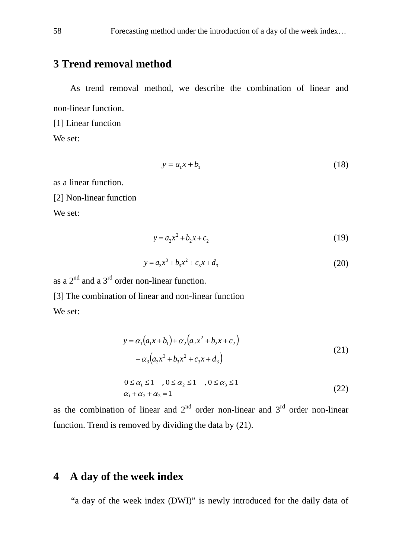## **3 Trend removal method**

As trend removal method, we describe the combination of linear and non-linear function.

[1] Linear function We set:

$$
y = a_1 x + b_1 \tag{18}
$$

as a linear function.

[2] Non-linear function

We set:

$$
y = a_2 x^2 + b_2 x + c_2 \tag{19}
$$

$$
y = a_3 x^3 + b_3 x^2 + c_3 x + d_3 \tag{20}
$$

as a  $2<sup>nd</sup>$  and a  $3<sup>rd</sup>$  order non-linear function. [3] The combination of linear and non-linear function We set:

$$
y = \alpha_1 (a_1 x + b_1) + \alpha_2 (a_2 x^2 + b_2 x + c_2)
$$
  
+  $\alpha_3 (a_3 x^3 + b_3 x^2 + c_3 x + d_3)$  (21)

$$
0 \leq \alpha_1 \leq 1, \quad 0 \leq \alpha_2 \leq 1, \quad 0 \leq \alpha_3 \leq 1
$$
  
\n
$$
\alpha_1 + \alpha_2 + \alpha_3 = 1
$$
\n(22)

as the combination of linear and  $2<sup>nd</sup>$  order non-linear and  $3<sup>rd</sup>$  order non-linear function. Trend is removed by dividing the data by (21).

## **4 A day of the week index**

"a day of the week index (DWI)" is newly introduced for the daily data of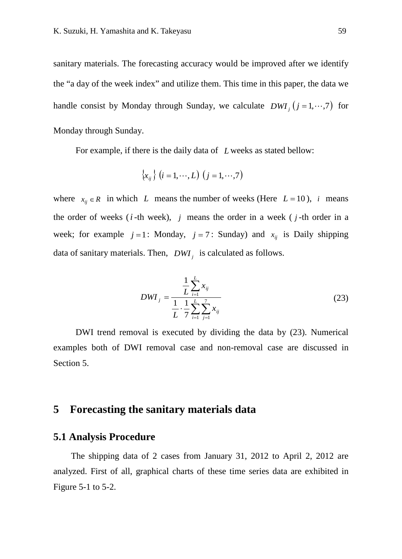sanitary materials. The forecasting accuracy would be improved after we identify the "a day of the week index" and utilize them. This time in this paper, the data we handle consist by Monday through Sunday, we calculate  $DWI_i$  ( $j = 1, \dots, 7$ ) for Monday through Sunday.

For example, if there is the daily data of *L* weeks as stated bellow:

$$
\left\{x_{ij}\right\} \left(i=1,\cdots,L\right) \left(j=1,\cdots,7\right)
$$

where  $x_{ij} \in R$  in which *L* means the number of weeks (Here  $L = 10$ ), *i* means the order of weeks (*i* -th week), *j* means the order in a week ( *j* -th order in a week; for example  $j = 1$ : Monday,  $j = 7$ : Sunday) and  $x_{ij}$  is Daily shipping data of sanitary materials. Then, *DWI <sup>j</sup>* is calculated as follows.

$$
DWI_j = \frac{\frac{1}{L} \sum_{i=1}^{L} x_{ij}}{\frac{1}{L} \cdot \frac{1}{\gamma} \sum_{i=1}^{L} \sum_{j=1}^{7} x_{ij}}
$$
(23)

DWI trend removal is executed by dividing the data by (23). Numerical examples both of DWI removal case and non-removal case are discussed in Section 5.

## **5 Forecasting the sanitary materials data**

#### **5.1 Analysis Procedure**

The shipping data of 2 cases from January 31, 2012 to April 2, 2012 are analyzed. First of all, graphical charts of these time series data are exhibited in Figure 5-1 to 5-2.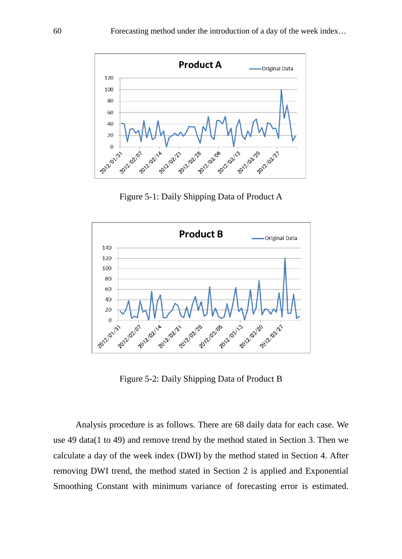

Figure 5-1: Daily Shipping Data of Product A



Figure 5-2: Daily Shipping Data of Product B

Analysis procedure is as follows. There are 68 daily data for each case. We use 49 data(1 to 49) and remove trend by the method stated in Section 3. Then we calculate a day of the week index (DWI) by the method stated in Section 4. After removing DWI trend, the method stated in Section 2 is applied and Exponential Smoothing Constant with minimum variance of forecasting error is estimated.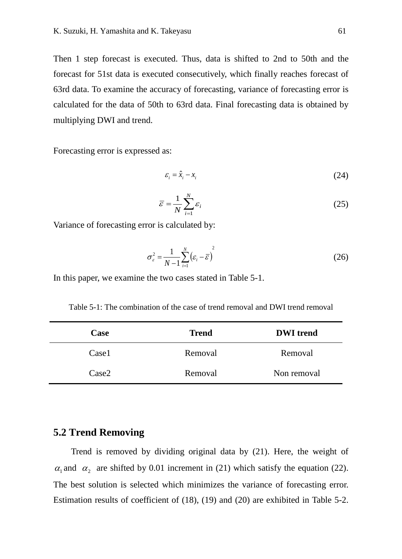Then 1 step forecast is executed. Thus, data is shifted to 2nd to 50th and the forecast for 51st data is executed consecutively, which finally reaches forecast of 63rd data. To examine the accuracy of forecasting, variance of forecasting error is calculated for the data of 50th to 63rd data. Final forecasting data is obtained by multiplying DWI and trend.

Forecasting error is expressed as:

$$
\varepsilon_i = \hat{x}_i - x_i \tag{24}
$$

$$
\bar{\varepsilon} = \frac{1}{N} \sum_{i=1}^{N} \varepsilon_i
$$
 (25)

Variance of forecasting error is calculated by:

$$
\sigma_{\varepsilon}^{2} = \frac{1}{N-1} \sum_{i=1}^{N} \left( \varepsilon_{i} - \overline{\varepsilon} \right)^{2}
$$
 (26)

In this paper, we examine the two cases stated in Table 5-1.

Table 5-1: The combination of the case of trend removal and DWI trend removal

| Case  | <b>Trend</b> | <b>DWI</b> trend |
|-------|--------------|------------------|
| Case1 | Removal      | Removal          |
| Case2 | Removal      | Non removal      |

#### **5.2 Trend Removing**

Trend is removed by dividing original data by (21). Here, the weight of  $\alpha_1$  and  $\alpha_2$  are shifted by 0.01 increment in (21) which satisfy the equation (22). The best solution is selected which minimizes the variance of forecasting error. Estimation results of coefficient of (18), (19) and (20) are exhibited in Table 5-2.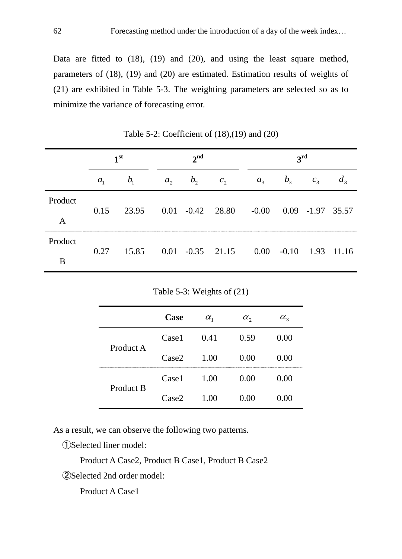Data are fitted to (18), (19) and (20), and using the least square method, parameters of (18), (19) and (20) are estimated. Estimation results of weights of (21) are exhibited in Table 5-3. The weighting parameters are selected so as to minimize the variance of forecasting error.

|              | 1 <sup>st</sup> |                                                    |         | $2^{nd}$ |                |         | $3^{\rm rd}$ |            |  |
|--------------|-----------------|----------------------------------------------------|---------|----------|----------------|---------|--------------|------------|--|
|              | $a_{1}$         | b <sub>1</sub>                                     | $a_{2}$ | $b_{2}$  | c <sub>2</sub> | $a_{3}$ | $b_{3}$      | $c_{3}$    |  |
| Product<br>A |                 | 0.15 23.95 0.01 -0.42 28.80 -0.00 0.09 -1.97 35.57 |         |          |                |         |              |            |  |
| Product<br>B |                 | $0.27$ 15.85 $0.01$ $-0.35$ 21.15 $0.00$ $-0.10$   |         |          |                |         |              | 1.93 11.16 |  |

Table 5-2: Coefficient of (18),(19) and (20)

|           | Case  | $\alpha_{1}$ | $\alpha_{2}$ | $\alpha_{3}$ |
|-----------|-------|--------------|--------------|--------------|
| Product A | Case1 | 0.41         | 0.59         | (0.00)       |
|           | Case2 | 1.00         | 0.00         | 0.00         |
| Product B | Case1 | 1.00         | 0.00         | 0.00         |
|           | Case2 | 1.00         | 0.00         | ( ) ( ) ( )  |

As a result, we can observe the following two patterns.

①Selected liner model:

Product A Case2, Product B Case1, Product B Case2

②Selected 2nd order model:

Product A Case1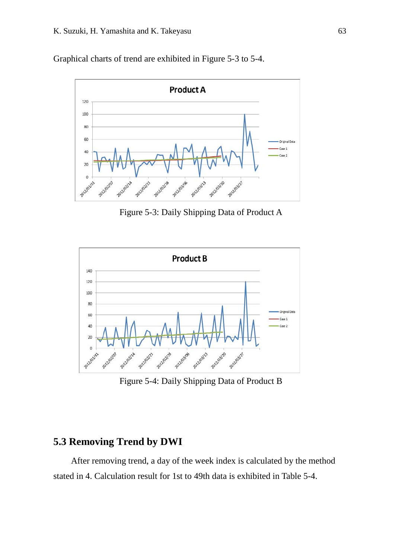Graphical charts of trend are exhibited in Figure 5-3 to 5-4.



Figure 5-3: Daily Shipping Data of Product A



Figure 5-4: Daily Shipping Data of Product B

## **5.3 Removing Trend by DWI**

After removing trend, a day of the week index is calculated by the method stated in 4. Calculation result for 1st to 49th data is exhibited in Table 5-4.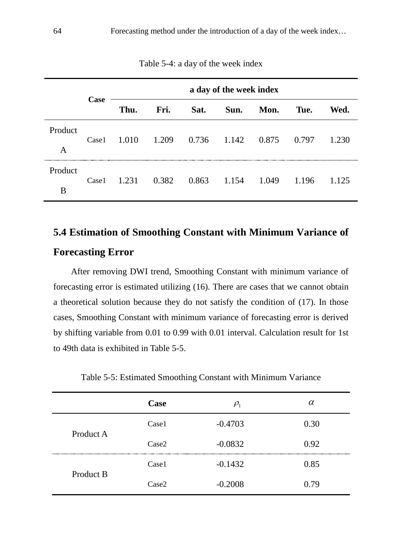|              |       | a day of the week index |       |       |                 |       |       |       |
|--------------|-------|-------------------------|-------|-------|-----------------|-------|-------|-------|
|              | Case  | Thu.                    | Fri.  | Sat.  | Sun.            | Mon.  | Tue.  | Wed.  |
| Product<br>A | Case1 | 1.010                   | 1.209 |       | $0.736$ $1.142$ | 0.875 | 0.797 | 1.230 |
| Product<br>B | Case1 | 1.231                   | 0.382 | 0.863 | 1.154           | 1.049 | 1.196 | 1.125 |

Table 5-4: a day of the week index

## **5.4 Estimation of Smoothing Constant with Minimum Variance of**

## **Forecasting Error**

After removing DWI trend, Smoothing Constant with minimum variance of forecasting error is estimated utilizing (16). There are cases that we cannot obtain a theoretical solution because they do not satisfy the condition of (17). In those cases, Smoothing Constant with minimum variance of forecasting error is derived by shifting variable from 0.01 to 0.99 with 0.01 interval. Calculation result for 1st to 49th data is exhibited in Table 5-5.

|  | Table 5-5: Estimated Smoothing Constant with Minimum Variance |
|--|---------------------------------------------------------------|
|--|---------------------------------------------------------------|

|               | Case  | $P_1$     | α    |
|---------------|-------|-----------|------|
| Product A     | Case1 | $-0.4703$ | 0.30 |
|               | Case2 | $-0.0832$ | 0.92 |
| <br>Product B | Case1 | $-0.1432$ | 0.85 |
|               | Case2 | $-0.2008$ | 0.79 |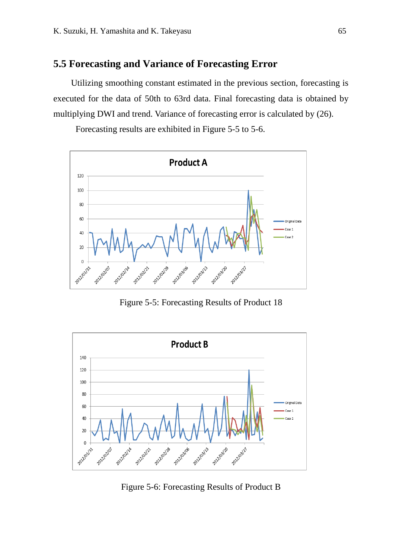#### **5.5 Forecasting and Variance of Forecasting Error**

Utilizing smoothing constant estimated in the previous section, forecasting is executed for the data of 50th to 63rd data. Final forecasting data is obtained by multiplying DWI and trend. Variance of forecasting error is calculated by (26).

Forecasting results are exhibited in Figure 5-5 to 5-6.



Figure 5-5: Forecasting Results of Product 18



Figure 5-6: Forecasting Results of Product B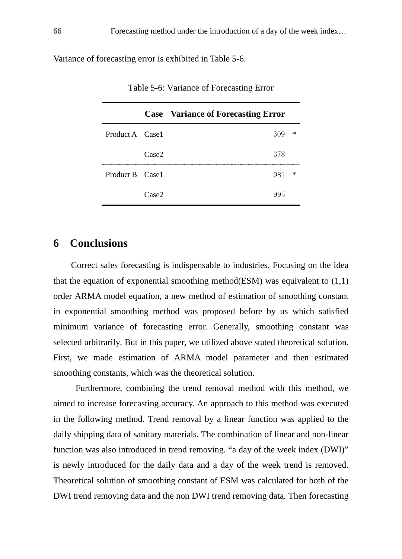Variance of forecasting error is exhibited in Table 5-6.

|                 |                   | <b>Case</b> Variance of Forecasting Error |   |
|-----------------|-------------------|-------------------------------------------|---|
| Product A Case1 |                   | $309 *$                                   |   |
|                 | Case <sub>2</sub> | 378                                       |   |
| Product B Case1 |                   | 981.                                      | * |
|                 | Case <sub>2</sub> |                                           |   |

Table 5-6: Variance of Forecasting Error

## **6 Conclusions**

Correct sales forecasting is indispensable to industries. Focusing on the idea that the equation of exponential smoothing method(ESM) was equivalent to  $(1,1)$ order ARMA model equation, a new method of estimation of smoothing constant in exponential smoothing method was proposed before by us which satisfied minimum variance of forecasting error. Generally, smoothing constant was selected arbitrarily. But in this paper, we utilized above stated theoretical solution. First, we made estimation of ARMA model parameter and then estimated smoothing constants, which was the theoretical solution.

Furthermore, combining the trend removal method with this method, we aimed to increase forecasting accuracy. An approach to this method was executed in the following method. Trend removal by a linear function was applied to the daily shipping data of sanitary materials. The combination of linear and non-linear function was also introduced in trend removing. "a day of the week index (DWI)" is newly introduced for the daily data and a day of the week trend is removed. Theoretical solution of smoothing constant of ESM was calculated for both of the DWI trend removing data and the non DWI trend removing data. Then forecasting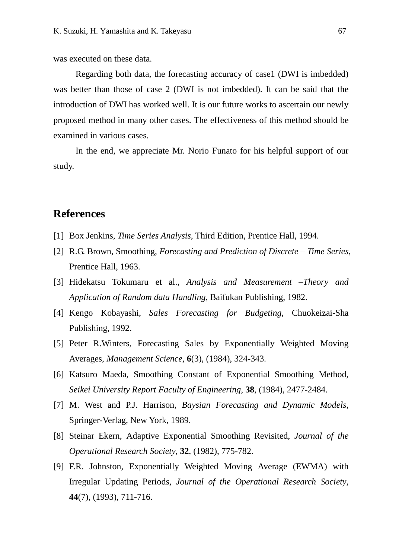was executed on these data.

Regarding both data, the forecasting accuracy of case1 (DWI is imbedded) was better than those of case 2 (DWI is not imbedded). It can be said that the introduction of DWI has worked well. It is our future works to ascertain our newly proposed method in many other cases. The effectiveness of this method should be examined in various cases.

In the end, we appreciate Mr. Norio Funato for his helpful support of our study.

## **References**

- [1] Box Jenkins, *Time Series Analysis*, Third Edition, Prentice Hall, 1994.
- [2] R.G. Brown, Smoothing, *Forecasting and Prediction of Discrete – Time Series*, Prentice Hall, 1963.
- [3] Hidekatsu Tokumaru et al., *Analysis and Measurement –Theory and Application of Random data Handling*, Baifukan Publishing, 1982.
- [4] Kengo Kobayashi, *Sales Forecasting for Budgeting*, Chuokeizai-Sha Publishing, 1992.
- [5] Peter R.Winters, Forecasting Sales by Exponentially Weighted Moving Averages, *Management Science*, **6**(3), (1984), 324-343.
- [6] Katsuro Maeda, Smoothing Constant of Exponential Smoothing Method, *Seikei University Report Faculty of Engineering*, **38**, (1984), 2477-2484.
- [7] M. West and P.J. Harrison, *Baysian Forecasting and Dynamic Models*, Springer-Verlag, New York, 1989.
- [8] Steinar Ekern, Adaptive Exponential Smoothing Revisited, *Journal of the Operational Research Society*, **32**, (1982), 775-782.
- [9] F.R. Johnston, Exponentially Weighted Moving Average (EWMA) with Irregular Updating Periods, *Journal of the Operational Research Society*, **44**(7), (1993), 711-716.